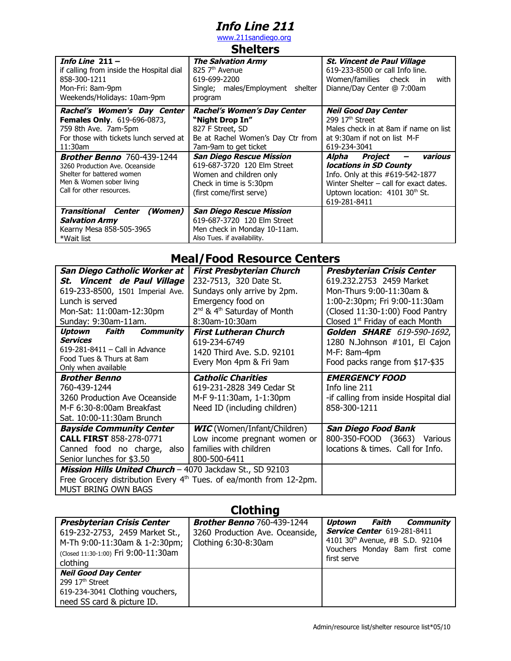## **Info Line 211**

[www.211sandiego.org](http://www.211sandiego.org/) **Shelters**

| энчкы э                                                                                                                                                    |                                                                                                                                           |                                                                                                                                                                                                   |
|------------------------------------------------------------------------------------------------------------------------------------------------------------|-------------------------------------------------------------------------------------------------------------------------------------------|---------------------------------------------------------------------------------------------------------------------------------------------------------------------------------------------------|
| Info Line $211 -$<br>if calling from inside the Hospital dial<br>858-300-1211<br>Mon-Fri: 8am-9pm<br>Weekends/Holidays: 10am-9pm                           | <b>The Salvation Army</b><br>$825\,7th$ Avenue<br>619-699-2200<br>Single; males/Employment<br>shelter<br>program                          | <i><b>St. Vincent de Paul Village</b></i><br>619-233-8500 or call Info line.<br>Women/families check<br>with<br>in.<br>Dianne/Day Center @ 7:00am                                                 |
| Rachel's Women's Day Center<br><b>Females Only.</b> 619-696-0873,<br>759 8th Ave. 7am-5pm<br>For those with tickets lunch served at<br>$11:30$ am          | <b>Rachel's Women's Day Center</b><br>"Night Drop In"<br>827 F Street, SD<br>Be at Rachel Women's Day Ctr from<br>7am-9am to get ticket   | <b>Neil Good Day Center</b><br>299 17 <sup>th</sup> Street<br>Males check in at 8am if name on list<br>at 9:30am if not on list M-F<br>619-234-3041                                               |
| <b>Brother Benno</b> 760-439-1244<br>3260 Production Ave. Oceanside<br>Shelter for battered women<br>Men & Women sober living<br>Call for other resources. | San Diego Rescue Mission<br>619-687-3720 120 Elm Street<br>Women and children only<br>Check in time is 5:30pm<br>(first come/first serve) | various<br>Alpha<br>Project<br>locations in SD County<br>Info. Only at this #619-542-1877<br>Winter Shelter - call for exact dates.<br>Uptown location: 4101 30 <sup>th</sup> St.<br>619-281-8411 |
| <b>Transitional Center</b><br>(Women)<br><b>Salvation Army</b><br>Kearny Mesa 858-505-3965<br>*Wait list                                                   | <b>San Diego Rescue Mission</b><br>619-687-3720 120 Elm Street<br>Men check in Monday 10-11am.<br>Also Tues. if availability.             |                                                                                                                                                                                                   |

### **Meal/Food Resource Centers**

| San Diego Catholic Worker at                             | <b>First Presbyterian Church</b>                                               | <b>Presbyterian Crisis Center</b>     |
|----------------------------------------------------------|--------------------------------------------------------------------------------|---------------------------------------|
| St. Vincent de Paul Village                              | 232-7513, 320 Date St.                                                         | 619.232.2753 2459 Market              |
| 619-233-8500, 1501 Imperial Ave.                         | Sundays only arrive by 2pm.                                                    | Mon-Thurs 9:00-11:30am &              |
| Lunch is served                                          | Emergency food on                                                              | 1:00-2:30pm; Fri 9:00-11:30am         |
| Mon-Sat: 11:00am-12:30pm                                 | 2 <sup>nd</sup> & 4 <sup>th</sup> Saturday of Month                            | (Closed 11:30-1:00) Food Pantry       |
| Sunday: 9:30am-11am.                                     | 8:30am-10:30am                                                                 | Closed $1st$ Friday of each Month     |
| Faith<br>Uptown<br><b>Community</b>                      | <b>First Lutheran Church</b>                                                   | Golden SHARE 619-590-1692,            |
| <b>Services</b>                                          | 619-234-6749                                                                   | 1280 N.Johnson #101, El Cajon         |
| 619-281-8411 - Call in Advance                           | 1420 Third Ave. S.D. 92101                                                     | M-F: 8am-4pm                          |
| Food Tues & Thurs at 8am                                 | Every Mon 4pm & Fri 9am                                                        | Food packs range from \$17-\$35       |
| Only when available                                      |                                                                                |                                       |
| <b>Brother Benno</b>                                     | <b>Catholic Charities</b>                                                      | <b>EMERGENCY FOOD</b>                 |
| 760-439-1244                                             | 619-231-2828 349 Cedar St                                                      | Info line 211                         |
| 3260 Production Ave Oceanside                            | M-F 9-11:30am, 1-1:30pm                                                        | -if calling from inside Hospital dial |
| M-F 6:30-8:00am Breakfast                                | Need ID (including children)                                                   | 858-300-1211                          |
| Sat. 10:00-11:30am Brunch                                |                                                                                |                                       |
| <b>Bayside Community Center</b>                          | <b>WIC</b> (Women/Infant/Children)                                             | <b>San Diego Food Bank</b>            |
| <b>CALL FIRST 858-278-0771</b>                           | Low income pregnant women or                                                   | 800-350-FOOD (3663) Various           |
| Canned food no charge, also                              | families with children                                                         | locations & times. Call for Info.     |
| Senior lunches for \$3.50                                | 800-500-6411                                                                   |                                       |
| Mission Hills United Church - 4070 Jackdaw St., SD 92103 |                                                                                |                                       |
|                                                          | Free Grocery distribution Every 4 <sup>th</sup> Tues. of ea/month from 12-2pm. |                                       |
| MUST BRING OWN BAGS                                      |                                                                                |                                       |

# **Clothing**

| <b>Presbyterian Crisis Center</b>    | <b>Brother Benno</b> 760-439-1244 | Faith<br><b>Community</b><br>Uptown           |
|--------------------------------------|-----------------------------------|-----------------------------------------------|
| 619-232-2753, 2459 Market St.,       | 3260 Production Ave. Oceanside,   | <b>Service Center</b> 619-281-8411            |
| M-Th 9:00-11:30am & 1-2:30pm;        | Clothing 6:30-8:30am              | 4101 30 <sup>th</sup> Avenue, #B S.D. 92104   |
| (Closed 11:30-1:00) Fri 9:00-11:30am |                                   | Vouchers Monday 8am first come<br>first serve |
| clothing                             |                                   |                                               |
| <b>Neil Good Day Center</b>          |                                   |                                               |
| 299 17 <sup>th</sup> Street          |                                   |                                               |
| 619-234-3041 Clothing vouchers,      |                                   |                                               |
| need SS card & picture ID.           |                                   |                                               |